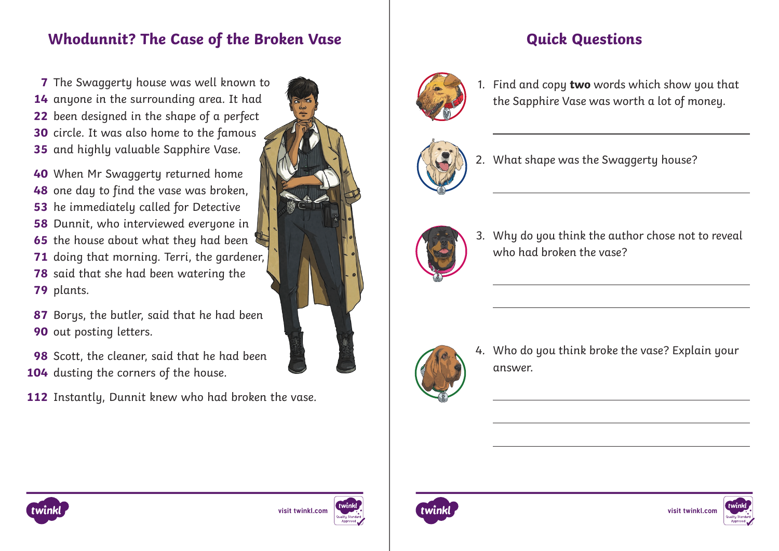## **Whodunnit? The Case of the Broken Vase The Case of the Broken Vase Access**

The Swaggerty house was well known to **7** anyone in the surrounding area. It had been designed in the shape of a perfect circle. It was also home to the famous and highly valuable Sapphire Vase.

When Mr Swaggerty returned home **40** one day to find the vase was broken, he immediately called for Detective Dunnit, who interviewed everyone in the house about what they had been doing that morning. Terri, the gardener, said that she had been watering the 79 plants.

Borys, the butler, said that he had been **87 90** out posting letters.

**98** Scott, the cleaner, said that he had been 104 dusting the corners of the house.

**112** Instantly, Dunnit knew who had broken the vase.





1. Find and copy **two** words which show you that the Sapphire Vase was worth a lot of money.



2. What shape was the Swaggerty house?



3. Why do you think the author chose not to reveal who had broken the vase?



4. Who do you think broke the vase? Explain your answer.